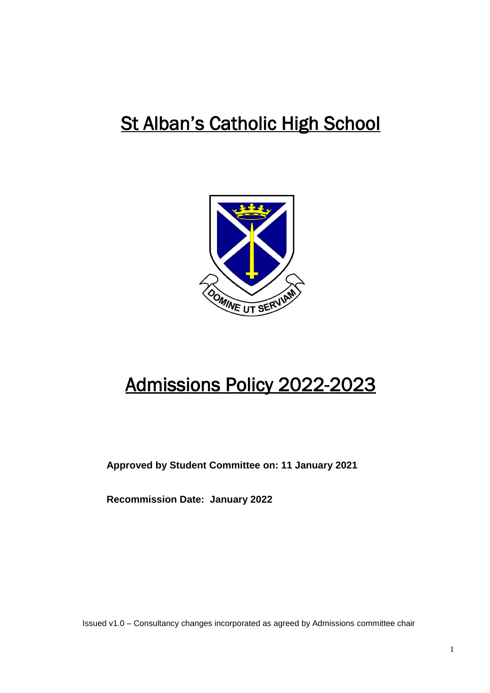# St Alban's Catholic High School



# Admissions Policy 2022-2023

**Approved by Student Committee on: 11 January 2021**

**Recommission Date: January 2022**

Issued v1.0 – Consultancy changes incorporated as agreed by Admissions committee chair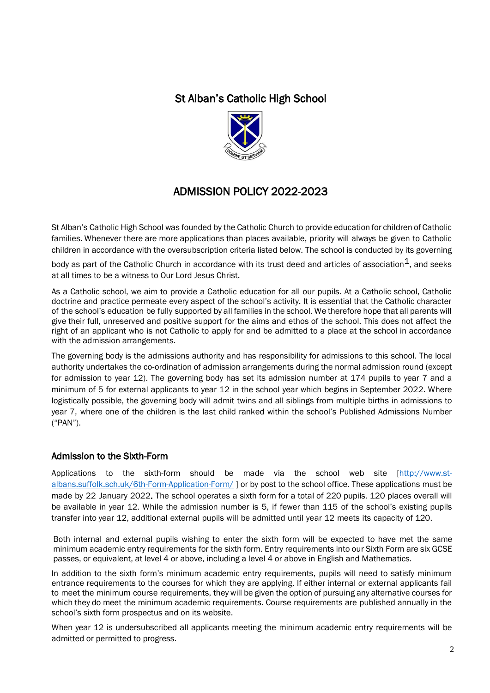## St Alban's Catholic High School



# ADMISSION POLICY 2022-2023

St Alban's Catholic High School was founded by the Catholic Church to provide education for children of Catholic families. Whenever there are more applications than places available, priority will always be given to Catholic children in accordance with the oversubscription criteria listed below. The school is conducted by its governing

body as part of the Catholic Church in accordance with its trust deed and articles of association $^{\text{\text{1}}},$  and seeks at all times to be a witness to Our Lord Jesus Christ.

As a Catholic school, we aim to provide a Catholic education for all our pupils. At a Catholic school, Catholic doctrine and practice permeate every aspect of the school's activity. It is essential that the Catholic character of the school's education be fully supported by all families in the school. We therefore hope that all parents will give their full, unreserved and positive support for the aims and ethos of the school. This does not affect the right of an applicant who is not Catholic to apply for and be admitted to a place at the school in accordance with the admission arrangements.

The governing body is the admissions authority and has responsibility for admissions to this school. The local authority undertakes the co-ordination of admission arrangements during the normal admission round (except for admission to year 12). The governing body has set its admission number at 174 pupils to year 7 and a minimum of 5 for external applicants to year 12 in the school year which begins in September 2022. Where logistically possible, the governing body will admit twins and all siblings from multiple births in admissions to year 7, where one of the children is the last child ranked within the school's Published Admissions Number ("PAN").

#### Admission to the Sixth-Form

Applications to the sixth-form should be made via the school web site [\[http://www.st](http://www.st-albans.suffolk.sch.uk/6th-Form-Application-Form/)[albans.suffolk.sch.uk/6th-Form-Application-Form/](http://www.st-albans.suffolk.sch.uk/6th-Form-Application-Form/) ] or by post to the school office. These applications must be made by 22 January 2022. The school operates a sixth form for a total of 220 pupils. 120 places overall will be available in year 12. While the admission number is 5, if fewer than 115 of the school's existing pupils transfer into year 12, additional external pupils will be admitted until year 12 meets its capacity of 120.

Both internal and external pupils wishing to enter the sixth form will be expected to have met the same minimum academic entry requirements for the sixth form. Entry requirements into our Sixth Form are six GCSE passes, or equivalent, at level 4 or above, including a level 4 or above in English and Mathematics.

In addition to the sixth form's minimum academic entry requirements, pupils will need to satisfy minimum entrance requirements to the courses for which they are applying. If either internal or external applicants fail to meet the minimum course requirements, they will be given the option of pursuing any alternative courses for which they do meet the minimum academic requirements. Course requirements are published annually in the school's sixth form prospectus and on its website.

When year 12 is undersubscribed all applicants meeting the minimum academic entry requirements will be admitted or permitted to progress.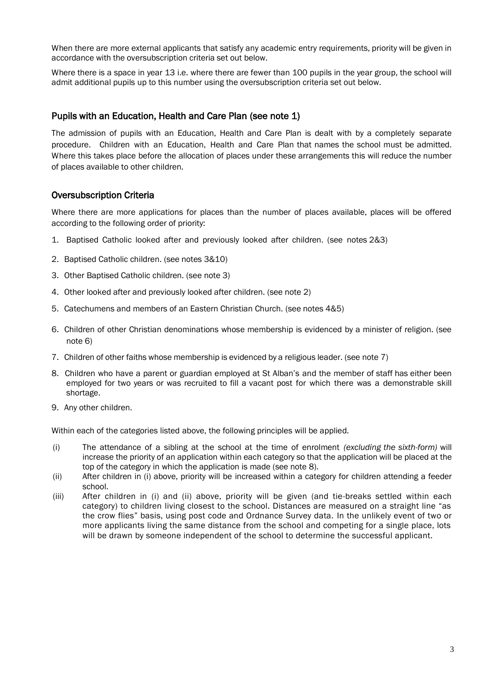When there are more external applicants that satisfy any academic entry requirements, priority will be given in accordance with the oversubscription criteria set out below.

Where there is a space in year 13 i.e. where there are fewer than 100 pupils in the year group, the school will admit additional pupils up to this number using the oversubscription criteria set out below.

#### Pupils with an Education, Health and Care Plan (see note 1)

The admission of pupils with an Education, Health and Care Plan is dealt with by a completely separate procedure. Children with an Education, Health and Care Plan that names the school must be admitted. Where this takes place before the allocation of places under these arrangements this will reduce the number of places available to other children.

#### Oversubscription Criteria

Where there are more applications for places than the number of places available, places will be offered according to the following order of priority:

- 1. Baptised Catholic looked after and previously looked after children. (see notes 2&3)
- 2. Baptised Catholic children. (see notes 3&10)
- 3. Other Baptised Catholic children. (see note 3)
- 4. Other looked after and previously looked after children. (see note 2)
- 5. Catechumens and members of an Eastern Christian Church. (see notes 4&5)
- 6. Children of other Christian denominations whose membership is evidenced by a minister of religion. (see note 6)
- 7. Children of other faiths whose membership is evidenced by a religious leader. (see note 7)
- 8. Children who have a parent or guardian employed at St Alban's and the member of staff has either been employed for two years or was recruited to fill a vacant post for which there was a demonstrable skill shortage.
- 9. Any other children.

Within each of the categories listed above, the following principles will be applied.

- (i) The attendance of a sibling at the school at the time of enrolment *(excluding the sixth-form)* will increase the priority of an application within each category so that the application will be placed at the top of the category in which the application is made (see note 8).
- (ii) After children in (i) above, priority will be increased within a category for children attending a feeder school.
- (iii) After children in (i) and (ii) above, priority will be given (and tie-breaks settled within each category) to children living closest to the school. Distances are measured on a straight line "as the crow flies" basis, using post code and Ordnance Survey data. In the unlikely event of two or more applicants living the same distance from the school and competing for a single place, lots will be drawn by someone independent of the school to determine the successful applicant.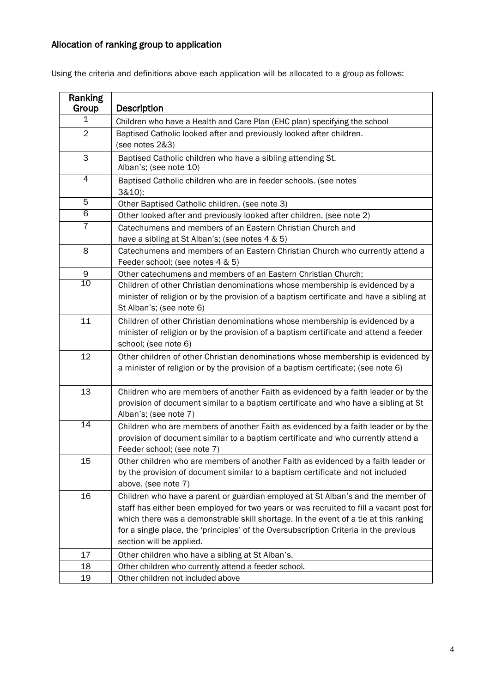# Allocation of ranking group to application

|  |  | Using the criteria and definitions above each application will be allocated to a group as follows: |  |  |  |
|--|--|----------------------------------------------------------------------------------------------------|--|--|--|
|--|--|----------------------------------------------------------------------------------------------------|--|--|--|

| Ranking<br>Group | Description                                                                                                                                                                                                                                                                                                                                                                             |
|------------------|-----------------------------------------------------------------------------------------------------------------------------------------------------------------------------------------------------------------------------------------------------------------------------------------------------------------------------------------------------------------------------------------|
| 1                | Children who have a Health and Care Plan (EHC plan) specifying the school                                                                                                                                                                                                                                                                                                               |
| $\overline{2}$   | Baptised Catholic looked after and previously looked after children.<br>(see notes 2&3)                                                                                                                                                                                                                                                                                                 |
| 3                | Baptised Catholic children who have a sibling attending St.<br>Alban's; (see note 10)                                                                                                                                                                                                                                                                                                   |
| 4                | Baptised Catholic children who are in feeder schools. (see notes<br>3&10);                                                                                                                                                                                                                                                                                                              |
| 5                | Other Baptised Catholic children. (see note 3)                                                                                                                                                                                                                                                                                                                                          |
| $\overline{6}$   | Other looked after and previously looked after children. (see note 2)                                                                                                                                                                                                                                                                                                                   |
| $\overline{7}$   | Catechumens and members of an Eastern Christian Church and<br>have a sibling at St Alban's; (see notes 4 & 5)                                                                                                                                                                                                                                                                           |
| 8                | Catechumens and members of an Eastern Christian Church who currently attend a<br>Feeder school; (see notes 4 & 5)                                                                                                                                                                                                                                                                       |
| 9                | Other catechumens and members of an Eastern Christian Church;                                                                                                                                                                                                                                                                                                                           |
| 10               | Children of other Christian denominations whose membership is evidenced by a<br>minister of religion or by the provision of a baptism certificate and have a sibling at<br>St Alban's; (see note 6)                                                                                                                                                                                     |
| 11               | Children of other Christian denominations whose membership is evidenced by a<br>minister of religion or by the provision of a baptism certificate and attend a feeder<br>school; (see note 6)                                                                                                                                                                                           |
| 12               | Other children of other Christian denominations whose membership is evidenced by<br>a minister of religion or by the provision of a baptism certificate; (see note 6)                                                                                                                                                                                                                   |
| 13               | Children who are members of another Faith as evidenced by a faith leader or by the<br>provision of document similar to a baptism certificate and who have a sibling at St<br>Alban's; (see note 7)                                                                                                                                                                                      |
| 14               | Children who are members of another Faith as evidenced by a faith leader or by the<br>provision of document similar to a baptism certificate and who currently attend a<br>Feeder school; (see note 7)                                                                                                                                                                                  |
| 15               | Other children who are members of another Faith as evidenced by a faith leader or<br>by the provision of document similar to a baptism certificate and not included<br>above. (see note 7)                                                                                                                                                                                              |
| 16               | Children who have a parent or guardian employed at St Alban's and the member of<br>staff has either been employed for two years or was recruited to fill a vacant post for<br>which there was a demonstrable skill shortage. In the event of a tie at this ranking<br>for a single place, the 'principles' of the Oversubscription Criteria in the previous<br>section will be applied. |
| 17               | Other children who have a sibling at St Alban's.                                                                                                                                                                                                                                                                                                                                        |
| 18               | Other children who currently attend a feeder school.                                                                                                                                                                                                                                                                                                                                    |
| 19               | Other children not included above                                                                                                                                                                                                                                                                                                                                                       |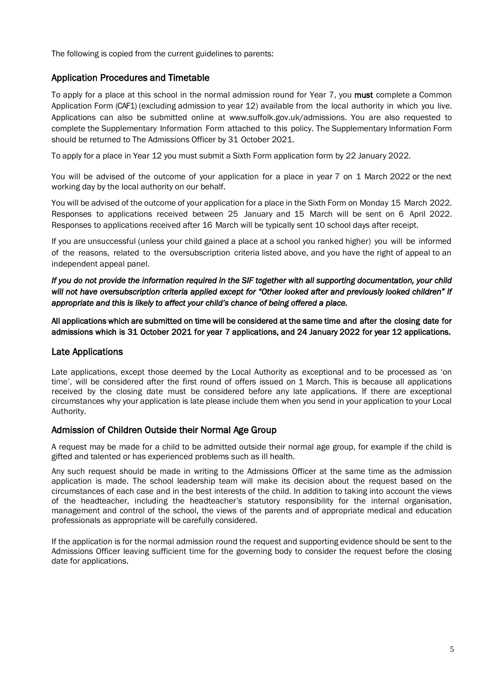The following is copied from the current guidelines to parents:

#### Application Procedures and Timetable

To apply for a place at this school in the normal admission round for Year 7, you must complete a Common Application Form (CAF1) (excluding admission to year 12) available from the local authority in which you live. Applications can also be submitted online at [www.suffolk.gov.uk/admissions.](http://www.suffolk.gov.uk/admissions) You are also requested to complete the Supplementary Information Form attached to this policy. The Supplementary Information Form should be returned to The Admissions Officer by 31 October 2021.

To apply for a place in Year 12 you must submit a Sixth Form application form by 22 January 2022.

You will be advised of the outcome of your application for a place in year 7 on 1 March 2022 or the next working day by the local authority on our behalf.

You will be advised of the outcome of your application for a place in the Sixth Form on Monday 15 March 2022. Responses to applications received between 25 January and 15 March will be sent on 6 April 2022. Responses to applications received after 16 March will be typically sent 10 school days after receipt.

If you are unsuccessful (unless your child gained a place at a school you ranked higher) you will be informed of the reasons, related to the oversubscription criteria listed above, and you have the right of appeal to an independent appeal panel.

*If you do not provide the information required in the SIF together with all supporting documentation, your child will not have oversubscription criteria applied except for "Other looked after and previously looked children" if appropriate and this is likely to affect your child's chance of being offered a place.* 

All applications which are submitted on time will be considered at the same time and after the closing date for admissions which is 31 October 2021 for year 7 applications, and 24 January 2022 for year 12 applications.

#### Late Applications

Late applications, except those deemed by the Local Authority as exceptional and to be processed as 'on time', will be considered after the first round of offers issued on 1 March. This is because all applications received by the closing date must be considered before any late applications. If there are exceptional circumstances why your application is late please include them when you send in your application to your Local Authority.

#### Admission of Children Outside their Normal Age Group

A request may be made for a child to be admitted outside their normal age group, for example if the child is gifted and talented or has experienced problems such as ill health.

Any such request should be made in writing to the Admissions Officer at the same time as the admission application is made. The school leadership team will make its decision about the request based on the circumstances of each case and in the best interests of the child. In addition to taking into account the views of the headteacher, including the headteacher's statutory responsibility for the internal organisation, management and control of the school, the views of the parents and of appropriate medical and education professionals as appropriate will be carefully considered.

If the application is for the normal admission round the request and supporting evidence should be sent to the Admissions Officer leaving sufficient time for the governing body to consider the request before the closing date for applications.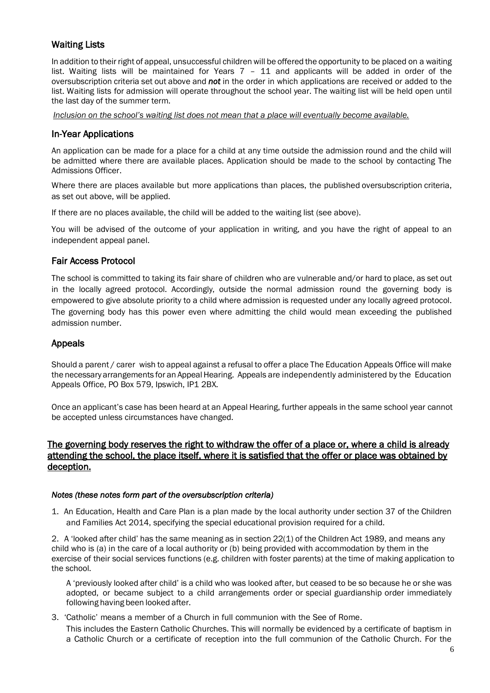### Waiting Lists

In addition to their right of appeal, unsuccessful children will be offered the opportunity to be placed on a waiting list. Waiting lists will be maintained for Years 7 – 11 and applicants will be added in order of the oversubscription criteria set out above and *not* in the order in which applications are received or added to the list. Waiting lists for admission will operate throughout the school year. The waiting list will be held open until the last day of the summer term.

*Inclusion on the school's waiting list does not mean that a place will eventually become available.*

#### In-Year Applications

An application can be made for a place for a child at any time outside the admission round and the child will be admitted where there are available places. Application should be made to the school by contacting The Admissions Officer.

Where there are places available but more applications than places, the published oversubscription criteria, as set out above, will be applied.

If there are no places available, the child will be added to the waiting list (see above).

You will be advised of the outcome of your application in writing, and you have the right of appeal to an independent appeal panel.

#### Fair Access Protocol

The school is committed to taking its fair share of children who are vulnerable and/or hard to place, as set out in the locally agreed protocol. Accordingly, outside the normal admission round the governing body is empowered to give absolute priority to a child where admission is requested under any locally agreed protocol. The governing body has this power even where admitting the child would mean exceeding the published admission number.

#### Appeals

Should a parent / carer wish to appeal against a refusal to offer a place The Education Appeals Office will make the necessary arrangements for an Appeal Hearing. Appeals are independently administered by the Education Appeals Office, PO Box 579, Ipswich, IP1 2BX.

Once an applicant's case has been heard at an Appeal Hearing, further appeals in the same school year cannot be accepted unless circumstances have changed.

#### The governing body reserves the right to withdraw the offer of a place or, where a child is already attending the school, the place itself, where it is satisfied that the offer or place was obtained by deception.

#### *Notes (these notes form part of the oversubscription criteria)*

1. An Education, Health and Care Plan is a plan made by the local authority under section 37 of the Children and Families Act 2014, specifying the special educational provision required for a child.

2. A 'looked after child' has the same meaning as in section 22(1) of the Children Act 1989, and means any child who is (a) in the care of a local authority or (b) being provided with accommodation by them in the exercise of their social services functions (e.g. children with foster parents) at the time of making application to the school.

A 'previously looked after child' is a child who was looked after, but ceased to be so because he or she was adopted, or became subject to a child arrangements order or special guardianship order immediately following having been looked after.

3. 'Catholic' means a member of a Church in full communion with the See of Rome. This includes the Eastern Catholic Churches. This will normally be evidenced by a certificate of baptism in a Catholic Church or a certificate of reception into the full communion of the Catholic Church. For the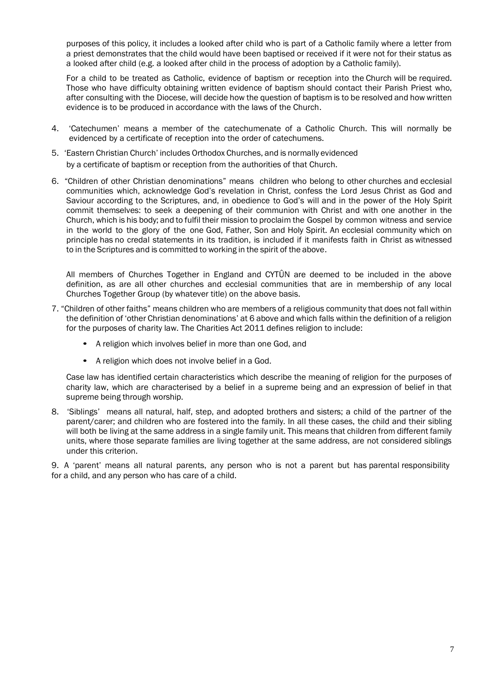purposes of this policy, it includes a looked after child who is part of a Catholic family where a letter from a priest demonstrates that the child would have been baptised or received if it were not for their status as a looked after child (e.g. a looked after child in the process of adoption by a Catholic family).

For a child to be treated as Catholic, evidence of baptism or reception into the Church will be required. Those who have difficulty obtaining written evidence of baptism should contact their Parish Priest who, after consulting with the Diocese, will decide how the question of baptism is to be resolved and how written evidence is to be produced in accordance with the laws of the Church.

- 4. 'Catechumen' means a member of the catechumenate of a Catholic Church. This will normally be evidenced by a certificate of reception into the order of catechumens.
- 5. 'Eastern Christian Church' includes Orthodox Churches, and is normally evidenced by a certificate of baptism or reception from the authorities of that Church.
- 6. "Children of other Christian denominations" means children who belong to other churches and ecclesial communities which, acknowledge God's revelation in Christ, confess the Lord Jesus Christ as God and Saviour according to the Scriptures, and, in obedience to God's will and in the power of the Holy Spirit commit themselves: to seek a deepening of their communion with Christ and with one another in the Church, which is his body; and to fulfil their mission to proclaim the Gospel by common witness and service in the world to the glory of the one God, Father, Son and Holy Spirit. An ecclesial community which on principle has no credal statements in its tradition, is included if it manifests faith in Christ as witnessed to in the Scriptures and is committed to working in the spirit of the above.

All members of Churches Together in England and CYTÛN are deemed to be included in the above definition, as are all other churches and ecclesial communities that are in membership of any local Churches Together Group (by whatever title) on the above basis.

- 7. "Children of other faiths" means children who are members of a religious community that does not fall within the definition of 'other Christian denominations' at 6 above and which falls within the definition of a religion for the purposes of charity law. The Charities Act 2011 defines religion to include:
	- A religion which involves belief in more than one God, and
	- A religion which does not involve belief in a God.

Case law has identified certain characteristics which describe the meaning of religion for the purposes of charity law, which are characterised by a belief in a supreme being and an expression of belief in that supreme being through worship.

8. 'Siblings' means all natural, half, step, and adopted brothers and sisters; a child of the partner of the parent/carer; and children who are fostered into the family. In all these cases, the child and their sibling will both be living at the same address in a single family unit. This means that children from different family units, where those separate families are living together at the same address, are not considered siblings under this criterion.

9. A 'parent' means all natural parents, any person who is not a parent but has parental responsibility for a child, and any person who has care of a child.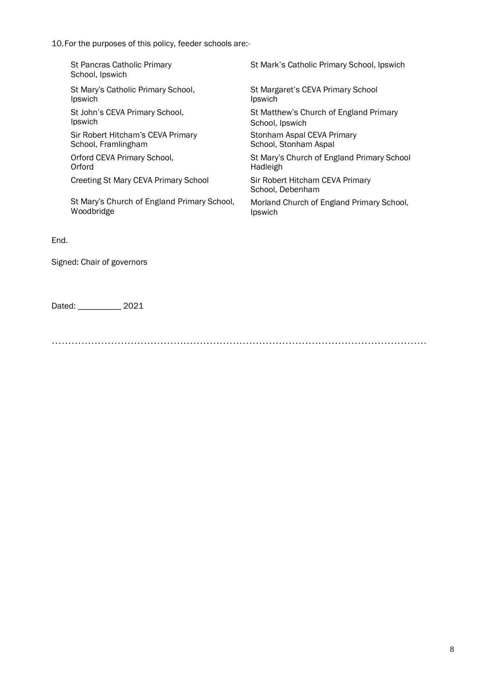10.For the purposes of this policy, feeder schools are:-

| St Pancras Catholic Primary<br>School, Ipswich | St Mark's Catholic Primary School, Ipswich          |
|------------------------------------------------|-----------------------------------------------------|
| St Mary's Catholic Primary School,             | St Margaret's CEVA Primary School                   |
| Ipswich                                        | Ipswich                                             |
| St John's CEVA Primary School,                 | St Matthew's Church of England Primary              |
| Ipswich                                        | School, Ipswich                                     |
| Sir Robert Hitcham's CEVA Primary              | Stonham Aspal CEVA Primary                          |
| School, Framlingham                            | School, Stonham Aspal                               |
| Orford CEVA Primary School,                    | St Mary's Church of England Primary School          |
| Orford                                         | Hadleigh                                            |
| Creeting St Mary CEVA Primary School           | Sir Robert Hitcham CEVA Primary<br>School. Debenham |
| St Mary's Church of England Primary School,    | Morland Church of England Primary School,           |
| Woodbridge                                     | Ipswich                                             |
|                                                |                                                     |

End.

Signed: Chair of governors

Dated: \_\_\_\_\_\_\_\_\_\_ 2021

……………………………………………………………………………………………………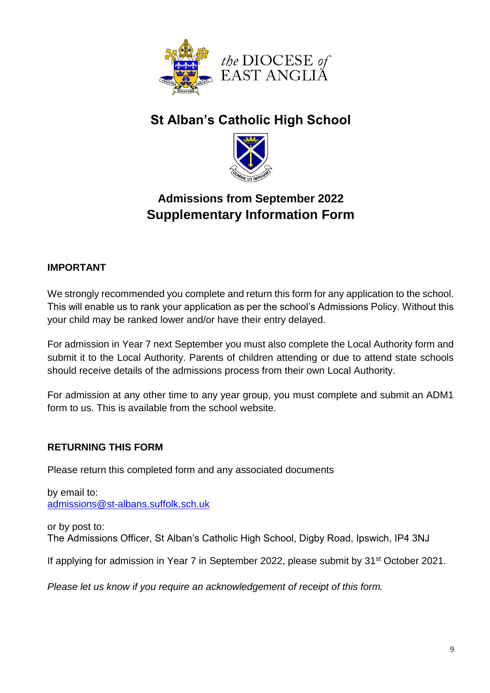

# **St Alban's Catholic High School**



# **Admissions from September 2022 Supplementary Information Form**

## **IMPORTANT**

We strongly recommended you complete and return this form for any application to the school. This will enable us to rank your application as per the school's Admissions Policy. Without this your child may be ranked lower and/or have their entry delayed.

For admission in Year 7 next September you must also complete the Local Authority form and submit it to the Local Authority. Parents of children attending or due to attend state schools should receive details of the admissions process from their own Local Authority.

For admission at any other time to any year group, you must complete and submit an ADM1 form to us. This is available from the school website.

## **RETURNING THIS FORM**

Please return this completed form and any associated documents

by email to: [admissions@st-albans.suffolk.sch.uk](mailto:admissions@st-albans.suffolk.sch.uk)

or by post to: The Admissions Officer, St Alban's Catholic High School, Digby Road, Ipswich, IP4 3NJ

If applying for admission in Year 7 in September 2022, please submit by 31<sup>st</sup> October 2021.

*Please let us know if you require an acknowledgement of receipt of this form.*